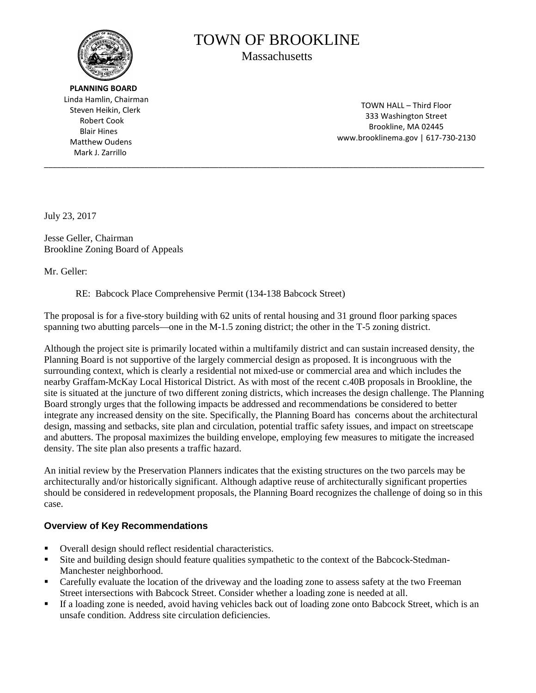

 **PLANNING BOARD** Linda Hamlin, Chairman Steven Heikin, Clerk Robert Cook Blair Hines Matthew Oudens Mark J. Zarrillo

# TOWN OF BROOKLINE Massachusetts

\_\_\_\_\_\_\_\_\_\_\_\_\_\_\_\_\_\_\_\_\_\_\_\_\_\_\_\_\_\_\_\_\_\_\_\_\_\_\_\_\_\_\_\_\_\_\_\_\_\_\_\_\_\_\_\_\_\_\_\_\_\_\_\_\_\_\_\_\_\_\_\_\_\_\_\_\_\_\_\_\_\_\_\_\_\_\_\_\_\_\_\_\_\_\_\_\_\_\_\_\_

TOWN HALL – Third Floor 333 Washington Street Brookline, MA 02445 [www.brooklinema.gov](http://www.brooklinema.gov/) | 617-730-2130

July 23, 2017

Jesse Geller, Chairman Brookline Zoning Board of Appeals

Mr. Geller:

RE: Babcock Place Comprehensive Permit (134-138 Babcock Street)

The proposal is for a five-story building with 62 units of rental housing and 31 ground floor parking spaces spanning two abutting parcels—one in the M-1.5 zoning district; the other in the T-5 zoning district.

Although the project site is primarily located within a multifamily district and can sustain increased density, the Planning Board is not supportive of the largely commercial design as proposed. It is incongruous with the surrounding context, which is clearly a residential not mixed-use or commercial area and which includes the nearby Graffam-McKay Local Historical District. As with most of the recent c.40B proposals in Brookline, the site is situated at the juncture of two different zoning districts, which increases the design challenge. The Planning Board strongly urges that the following impacts be addressed and recommendations be considered to better integrate any increased density on the site. Specifically, the Planning Board has concerns about the architectural design, massing and setbacks, site plan and circulation, potential traffic safety issues, and impact on streetscape and abutters. The proposal maximizes the building envelope, employing few measures to mitigate the increased density. The site plan also presents a traffic hazard.

An initial review by the Preservation Planners indicates that the existing structures on the two parcels may be architecturally and/or historically significant. Although adaptive reuse of architecturally significant properties should be considered in redevelopment proposals, the Planning Board recognizes the challenge of doing so in this case.

# **Overview of Key Recommendations**

- Overall design should reflect residential characteristics.
- Site and building design should feature qualities sympathetic to the context of the Babcock-Stedman-Manchester neighborhood.
- Carefully evaluate the location of the driveway and the loading zone to assess safety at the two Freeman Street intersections with Babcock Street. Consider whether a loading zone is needed at all.
- If a loading zone is needed, avoid having vehicles back out of loading zone onto Babcock Street, which is an unsafe condition. Address site circulation deficiencies.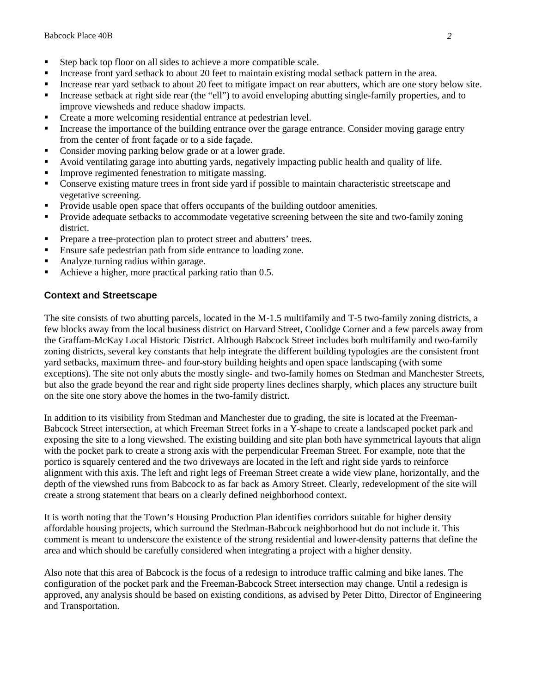- Step back top floor on all sides to achieve a more compatible scale.
- Increase front yard setback to about 20 feet to maintain existing modal setback pattern in the area.
- Increase rear yard setback to about 20 feet to mitigate impact on rear abutters, which are one story below site.
- Increase setback at right side rear (the "ell") to avoid enveloping abutting single-family properties, and to improve viewsheds and reduce shadow impacts.
- Create a more welcoming residential entrance at pedestrian level.
- Increase the importance of the building entrance over the garage entrance. Consider moving garage entry from the center of front façade or to a side façade.
- Consider moving parking below grade or at a lower grade.
- Avoid ventilating garage into abutting yards, negatively impacting public health and quality of life.
- **Improve regimented fenestration to mitigate massing.**
- Conserve existing mature trees in front side yard if possible to maintain characteristic streetscape and vegetative screening.
- Provide usable open space that offers occupants of the building outdoor amenities.
- Provide adequate setbacks to accommodate vegetative screening between the site and two-family zoning district.
- **Prepare a tree-protection plan to protect street and abutters' trees.**
- Ensure safe pedestrian path from side entrance to loading zone.
- Analyze turning radius within garage.
- Achieve a higher, more practical parking ratio than 0.5.

## **Context and Streetscape**

The site consists of two abutting parcels, located in the M-1.5 multifamily and T-5 two-family zoning districts, a few blocks away from the local business district on Harvard Street, Coolidge Corner and a few parcels away from the Graffam-McKay Local Historic District. Although Babcock Street includes both multifamily and two-family zoning districts, several key constants that help integrate the different building typologies are the consistent front yard setbacks, maximum three- and four-story building heights and open space landscaping (with some exceptions). The site not only abuts the mostly single- and two-family homes on Stedman and Manchester Streets, but also the grade beyond the rear and right side property lines declines sharply, which places any structure built on the site one story above the homes in the two-family district.

In addition to its visibility from Stedman and Manchester due to grading, the site is located at the Freeman-Babcock Street intersection, at which Freeman Street forks in a Y-shape to create a landscaped pocket park and exposing the site to a long viewshed. The existing building and site plan both have symmetrical layouts that align with the pocket park to create a strong axis with the perpendicular Freeman Street. For example, note that the portico is squarely centered and the two driveways are located in the left and right side yards to reinforce alignment with this axis. The left and right legs of Freeman Street create a wide view plane, horizontally, and the depth of the viewshed runs from Babcock to as far back as Amory Street. Clearly, redevelopment of the site will create a strong statement that bears on a clearly defined neighborhood context.

It is worth noting that the Town's Housing Production Plan identifies corridors suitable for higher density affordable housing projects, which surround the Stedman-Babcock neighborhood but do not include it. This comment is meant to underscore the existence of the strong residential and lower-density patterns that define the area and which should be carefully considered when integrating a project with a higher density.

Also note that this area of Babcock is the focus of a redesign to introduce traffic calming and bike lanes. The configuration of the pocket park and the Freeman-Babcock Street intersection may change. Until a redesign is approved, any analysis should be based on existing conditions, as advised by Peter Ditto, Director of Engineering and Transportation.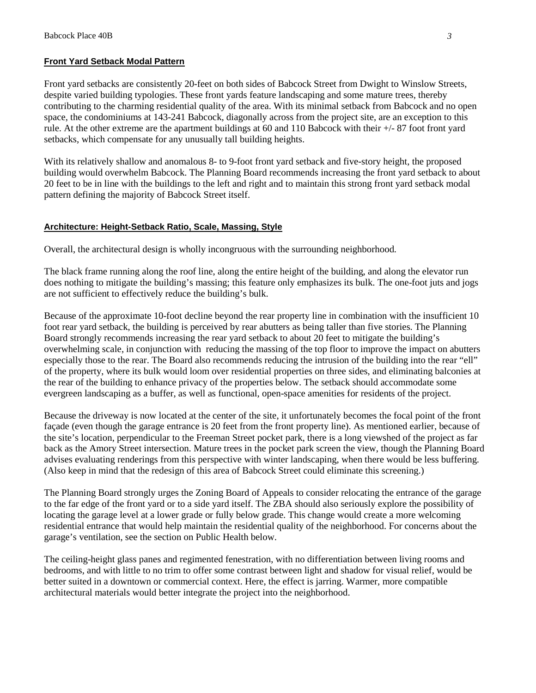#### **Front Yard Setback Modal Pattern**

Front yard setbacks are consistently 20-feet on both sides of Babcock Street from Dwight to Winslow Streets, despite varied building typologies. These front yards feature landscaping and some mature trees, thereby contributing to the charming residential quality of the area. With its minimal setback from Babcock and no open space, the condominiums at 143-241 Babcock, diagonally across from the project site, are an exception to this rule. At the other extreme are the apartment buildings at 60 and 110 Babcock with their +/- 87 foot front yard setbacks, which compensate for any unusually tall building heights.

With its relatively shallow and anomalous 8- to 9-foot front yard setback and five-story height, the proposed building would overwhelm Babcock. The Planning Board recommends increasing the front yard setback to about 20 feet to be in line with the buildings to the left and right and to maintain this strong front yard setback modal pattern defining the majority of Babcock Street itself.

#### **Architecture: Height-Setback Ratio, Scale, Massing, Style**

Overall, the architectural design is wholly incongruous with the surrounding neighborhood.

The black frame running along the roof line, along the entire height of the building, and along the elevator run does nothing to mitigate the building's massing; this feature only emphasizes its bulk. The one-foot juts and jogs are not sufficient to effectively reduce the building's bulk.

Because of the approximate 10-foot decline beyond the rear property line in combination with the insufficient 10 foot rear yard setback, the building is perceived by rear abutters as being taller than five stories. The Planning Board strongly recommends increasing the rear yard setback to about 20 feet to mitigate the building's overwhelming scale, in conjunction with reducing the massing of the top floor to improve the impact on abutters especially those to the rear. The Board also recommends reducing the intrusion of the building into the rear "ell" of the property, where its bulk would loom over residential properties on three sides, and eliminating balconies at the rear of the building to enhance privacy of the properties below. The setback should accommodate some evergreen landscaping as a buffer, as well as functional, open-space amenities for residents of the project.

Because the driveway is now located at the center of the site, it unfortunately becomes the focal point of the front façade (even though the garage entrance is 20 feet from the front property line). As mentioned earlier, because of the site's location, perpendicular to the Freeman Street pocket park, there is a long viewshed of the project as far back as the Amory Street intersection. Mature trees in the pocket park screen the view, though the Planning Board advises evaluating renderings from this perspective with winter landscaping, when there would be less buffering. (Also keep in mind that the redesign of this area of Babcock Street could eliminate this screening.)

The Planning Board strongly urges the Zoning Board of Appeals to consider relocating the entrance of the garage to the far edge of the front yard or to a side yard itself. The ZBA should also seriously explore the possibility of locating the garage level at a lower grade or fully below grade. This change would create a more welcoming residential entrance that would help maintain the residential quality of the neighborhood. For concerns about the garage's ventilation, see the section on Public Health below.

The ceiling-height glass panes and regimented fenestration, with no differentiation between living rooms and bedrooms, and with little to no trim to offer some contrast between light and shadow for visual relief, would be better suited in a downtown or commercial context. Here, the effect is jarring. Warmer, more compatible architectural materials would better integrate the project into the neighborhood.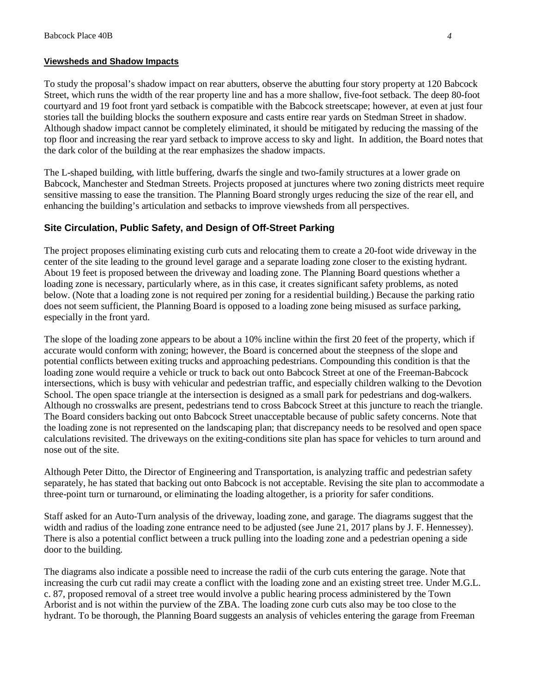#### **Viewsheds and Shadow Impacts**

To study the proposal's shadow impact on rear abutters, observe the abutting four story property at 120 Babcock Street, which runs the width of the rear property line and has a more shallow, five-foot setback. The deep 80-foot courtyard and 19 foot front yard setback is compatible with the Babcock streetscape; however, at even at just four stories tall the building blocks the southern exposure and casts entire rear yards on Stedman Street in shadow. Although shadow impact cannot be completely eliminated, it should be mitigated by reducing the massing of the top floor and increasing the rear yard setback to improve access to sky and light. In addition, the Board notes that the dark color of the building at the rear emphasizes the shadow impacts.

The L-shaped building, with little buffering, dwarfs the single and two-family structures at a lower grade on Babcock, Manchester and Stedman Streets. Projects proposed at junctures where two zoning districts meet require sensitive massing to ease the transition. The Planning Board strongly urges reducing the size of the rear ell, and enhancing the building's articulation and setbacks to improve viewsheds from all perspectives.

#### **Site Circulation, Public Safety, and Design of Off-Street Parking**

The project proposes eliminating existing curb cuts and relocating them to create a 20-foot wide driveway in the center of the site leading to the ground level garage and a separate loading zone closer to the existing hydrant. About 19 feet is proposed between the driveway and loading zone. The Planning Board questions whether a loading zone is necessary, particularly where, as in this case, it creates significant safety problems, as noted below. (Note that a loading zone is not required per zoning for a residential building.) Because the parking ratio does not seem sufficient, the Planning Board is opposed to a loading zone being misused as surface parking, especially in the front yard.

The slope of the loading zone appears to be about a 10% incline within the first 20 feet of the property, which if accurate would conform with zoning; however, the Board is concerned about the steepness of the slope and potential conflicts between exiting trucks and approaching pedestrians. Compounding this condition is that the loading zone would require a vehicle or truck to back out onto Babcock Street at one of the Freeman-Babcock intersections, which is busy with vehicular and pedestrian traffic, and especially children walking to the Devotion School. The open space triangle at the intersection is designed as a small park for pedestrians and dog-walkers. Although no crosswalks are present, pedestrians tend to cross Babcock Street at this juncture to reach the triangle. The Board considers backing out onto Babcock Street unacceptable because of public safety concerns. Note that the loading zone is not represented on the landscaping plan; that discrepancy needs to be resolved and open space calculations revisited. The driveways on the exiting-conditions site plan has space for vehicles to turn around and nose out of the site.

Although Peter Ditto, the Director of Engineering and Transportation, is analyzing traffic and pedestrian safety separately, he has stated that backing out onto Babcock is not acceptable. Revising the site plan to accommodate a three-point turn or turnaround, or eliminating the loading altogether, is a priority for safer conditions.

Staff asked for an Auto-Turn analysis of the driveway, loading zone, and garage. The diagrams suggest that the width and radius of the loading zone entrance need to be adjusted (see June 21, 2017 plans by J. F. Hennessey). There is also a potential conflict between a truck pulling into the loading zone and a pedestrian opening a side door to the building.

The diagrams also indicate a possible need to increase the radii of the curb cuts entering the garage. Note that increasing the curb cut radii may create a conflict with the loading zone and an existing street tree. Under M.G.L. c. 87, proposed removal of a street tree would involve a public hearing process administered by the Town Arborist and is not within the purview of the ZBA. The loading zone curb cuts also may be too close to the hydrant. To be thorough, the Planning Board suggests an analysis of vehicles entering the garage from Freeman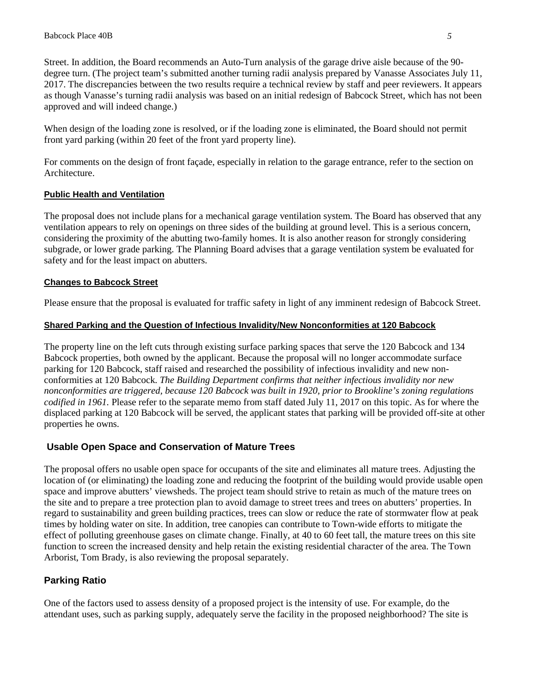Street. In addition, the Board recommends an Auto-Turn analysis of the garage drive aisle because of the 90 degree turn. (The project team's submitted another turning radii analysis prepared by Vanasse Associates July 11, 2017. The discrepancies between the two results require a technical review by staff and peer reviewers. It appears as though Vanasse's turning radii analysis was based on an initial redesign of Babcock Street, which has not been approved and will indeed change.)

When design of the loading zone is resolved, or if the loading zone is eliminated, the Board should not permit front yard parking (within 20 feet of the front yard property line).

For comments on the design of front façade, especially in relation to the garage entrance, refer to the section on Architecture.

## **Public Health and Ventilation**

The proposal does not include plans for a mechanical garage ventilation system. The Board has observed that any ventilation appears to rely on openings on three sides of the building at ground level. This is a serious concern, considering the proximity of the abutting two-family homes. It is also another reason for strongly considering subgrade, or lower grade parking. The Planning Board advises that a garage ventilation system be evaluated for safety and for the least impact on abutters.

#### **Changes to Babcock Street**

Please ensure that the proposal is evaluated for traffic safety in light of any imminent redesign of Babcock Street.

#### **Shared Parking and the Question of Infectious Invalidity/New Nonconformities at 120 Babcock**

The property line on the left cuts through existing surface parking spaces that serve the 120 Babcock and 134 Babcock properties, both owned by the applicant. Because the proposal will no longer accommodate surface parking for 120 Babcock, staff raised and researched the possibility of infectious invalidity and new nonconformities at 120 Babcock. *The Building Department confirms that neither infectious invalidity nor new nonconformities are triggered, because 120 Babcock was built in 1920, prior to Brookline's zoning regulations codified in 1961.* Please refer to the separate memo from staff dated July 11, 2017 on this topic. As for where the displaced parking at 120 Babcock will be served, the applicant states that parking will be provided off-site at other properties he owns.

# **Usable Open Space and Conservation of Mature Trees**

The proposal offers no usable open space for occupants of the site and eliminates all mature trees. Adjusting the location of (or eliminating) the loading zone and reducing the footprint of the building would provide usable open space and improve abutters' viewsheds. The project team should strive to retain as much of the mature trees on the site and to prepare a tree protection plan to avoid damage to street trees and trees on abutters' properties. In regard to sustainability and green building practices, trees can slow or reduce the rate of stormwater flow at peak times by holding water on site. In addition, tree canopies can contribute to Town-wide efforts to mitigate the effect of polluting greenhouse gases on climate change. Finally, at 40 to 60 feet tall, the mature trees on this site function to screen the increased density and help retain the existing residential character of the area. The Town Arborist, Tom Brady, is also reviewing the proposal separately.

# **Parking Ratio**

One of the factors used to assess density of a proposed project is the intensity of use. For example, do the attendant uses, such as parking supply, adequately serve the facility in the proposed neighborhood? The site is